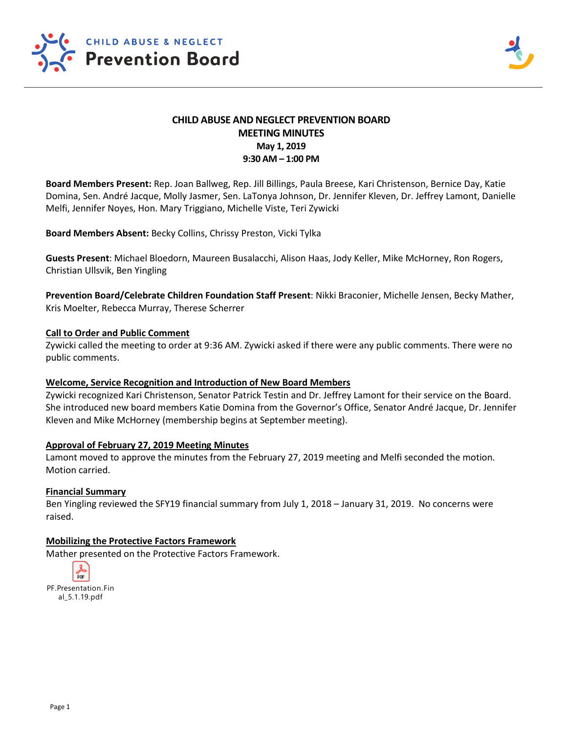

# **CHILD ABUSE AND NEGLECT PREVENTION BOARD MEETING MINUTES May 1, 2019 9:30 AM – 1:00 PM**

**Board Members Present:** Rep. Joan Ballweg, Rep. Jill Billings, Paula Breese, Kari Christenson, Bernice Day, Katie Domina, Sen. André Jacque, Molly Jasmer, Sen. LaTonya Johnson, Dr. Jennifer Kleven, Dr. Jeffrey Lamont, Danielle Melfi, Jennifer Noyes, Hon. Mary Triggiano, Michelle Viste, Teri Zywicki

**Board Members Absent:** Becky Collins, Chrissy Preston, Vicki Tylka

**Guests Present**: Michael Bloedorn, Maureen Busalacchi, Alison Haas, Jody Keller, Mike McHorney, Ron Rogers, Christian Ullsvik, Ben Yingling

**Prevention Board/Celebrate Children Foundation Staff Present**: Nikki Braconier, Michelle Jensen, Becky Mather, Kris Moelter, Rebecca Murray, Therese Scherrer

#### **Call to Order and Public Comment**

Zywicki called the meeting to order at 9:36 AM. Zywicki asked if there were any public comments. There were no public comments.

#### **Welcome, Service Recognition and Introduction of New Board Members**

Zywicki recognized Kari Christenson, Senator Patrick Testin and Dr. Jeffrey Lamont for their service on the Board. She introduced new board members Katie Domina from the Governor's Office, Senator André Jacque, Dr. Jennifer Kleven and Mike McHorney (membership begins at September meeting).

### **Approval of February 27, 2019 Meeting Minutes**

Lamont moved to approve the minutes from the February 27, 2019 meeting and Melfi seconded the motion. Motion carried.

#### **Financial Summary**

Ben Yingling reviewed the SFY19 financial summary from July 1, 2018 – January 31, 2019. No concerns were raised.

### **Mobilizing the Protective Factors Framework**

Mather presented on the Protective Factors Framework.

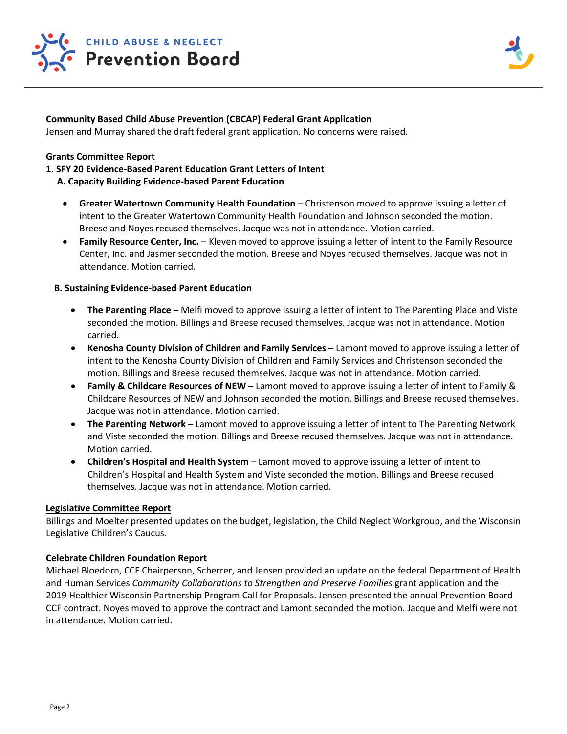

## **Community Based Child Abuse Prevention (CBCAP) Federal Grant Application**

Jensen and Murray shared the draft federal grant application. No concerns were raised.

### **Grants Committee Report**

#### **1. SFY 20 Evidence-Based Parent Education Grant Letters of Intent**

- **A. Capacity Building Evidence-based Parent Education**
	- **Greater Watertown Community Health Foundation** Christenson moved to approve issuing a letter of intent to the Greater Watertown Community Health Foundation and Johnson seconded the motion. Breese and Noyes recused themselves. Jacque was not in attendance. Motion carried.
	- **Family Resource Center, Inc.** Kleven moved to approve issuing a letter of intent to the Family Resource Center, Inc. and Jasmer seconded the motion. Breese and Noyes recused themselves. Jacque was not in attendance. Motion carried.

### **B. Sustaining Evidence-based Parent Education**

- **The Parenting Place** Melfi moved to approve issuing a letter of intent to The Parenting Place and Viste seconded the motion. Billings and Breese recused themselves. Jacque was not in attendance. Motion carried.
- **Kenosha County Division of Children and Family Services**  Lamont moved to approve issuing a letter of intent to the Kenosha County Division of Children and Family Services and Christenson seconded the motion. Billings and Breese recused themselves. Jacque was not in attendance. Motion carried.
- **Family & Childcare Resources of NEW** Lamont moved to approve issuing a letter of intent to Family & Childcare Resources of NEW and Johnson seconded the motion. Billings and Breese recused themselves. Jacque was not in attendance. Motion carried.
- **The Parenting Network**  Lamont moved to approve issuing a letter of intent to The Parenting Network and Viste seconded the motion. Billings and Breese recused themselves. Jacque was not in attendance. Motion carried.
- **Children's Hospital and Health System**  Lamont moved to approve issuing a letter of intent to Children's Hospital and Health System and Viste seconded the motion. Billings and Breese recused themselves. Jacque was not in attendance. Motion carried.

#### **Legislative Committee Report**

Billings and Moelter presented updates on the budget, legislation, the Child Neglect Workgroup, and the Wisconsin Legislative Children's Caucus.

### **Celebrate Children Foundation Report**

Michael Bloedorn, CCF Chairperson, Scherrer, and Jensen provided an update on the federal Department of Health and Human Services *Community Collaborations to Strengthen and Preserve Families* grant application and the 2019 Healthier Wisconsin Partnership Program Call for Proposals. Jensen presented the annual Prevention Board-CCF contract. Noyes moved to approve the contract and Lamont seconded the motion. Jacque and Melfi were not in attendance. Motion carried.